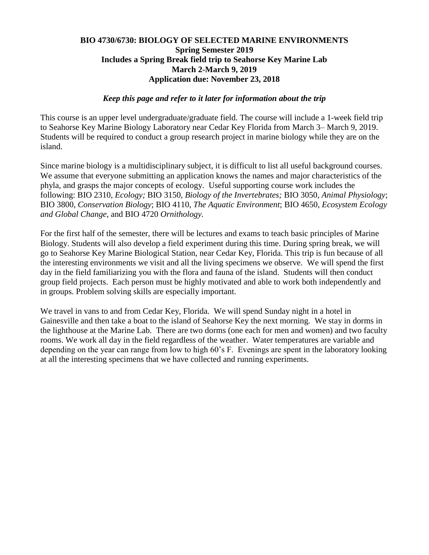## **BIO 4730/6730: BIOLOGY OF SELECTED MARINE ENVIRONMENTS Spring Semester 2019 Includes a Spring Break field trip to Seahorse Key Marine Lab March 2-March 9, 2019 Application due: November 23, 2018**

## *Keep this page and refer to it later for information about the trip*

This course is an upper level undergraduate/graduate field. The course will include a 1-week field trip to Seahorse Key Marine Biology Laboratory near Cedar Key Florida from March 3– March 9, 2019. Students will be required to conduct a group research project in marine biology while they are on the island.

Since marine biology is a multidisciplinary subject, it is difficult to list all useful background courses. We assume that everyone submitting an application knows the names and major characteristics of the phyla, and grasps the major concepts of ecology. Useful supporting course work includes the following: BIO 2310*, Ecology;* BIO 3150, *Biology of the Invertebrates;* BIO 3050, *Animal Physiology*; BIO 3800, *Conservation Biology*; BIO 4110, *The Aquatic Environment*; BIO 4650, *Ecosystem Ecology and Global Change*, and BIO 4720 *Ornithology.*

For the first half of the semester, there will be lectures and exams to teach basic principles of Marine Biology. Students will also develop a field experiment during this time. During spring break, we will go to Seahorse Key Marine Biological Station, near Cedar Key, Florida. This trip is fun because of all the interesting environments we visit and all the living specimens we observe. We will spend the first day in the field familiarizing you with the flora and fauna of the island. Students will then conduct group field projects. Each person must be highly motivated and able to work both independently and in groups. Problem solving skills are especially important.

We travel in vans to and from Cedar Key, Florida. We will spend Sunday night in a hotel in Gainesville and then take a boat to the island of Seahorse Key the next morning. We stay in dorms in the lighthouse at the Marine Lab. There are two dorms (one each for men and women) and two faculty rooms. We work all day in the field regardless of the weather. Water temperatures are variable and depending on the year can range from low to high 60's F. Evenings are spent in the laboratory looking at all the interesting specimens that we have collected and running experiments.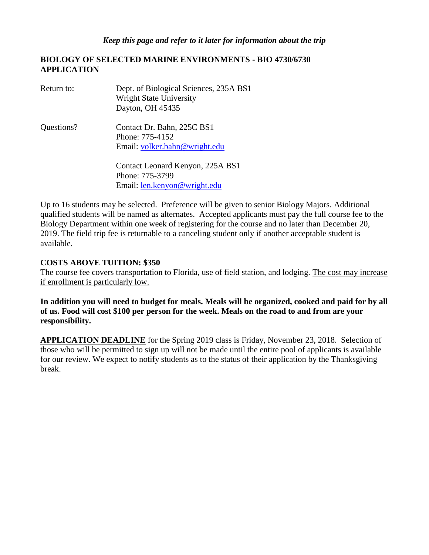## **BIOLOGY OF SELECTED MARINE ENVIRONMENTS - BIO 4730/6730 APPLICATION**

| Return to: | Dept. of Biological Sciences, 235A BS1<br><b>Wright State University</b><br>Dayton, OH 45435 |
|------------|----------------------------------------------------------------------------------------------|
| Questions? | Contact Dr. Bahn, 225C BS1<br>Phone: 775-4152<br>Email: volker.bahn@wright.edu               |
|            | Contact Leonard Kenyon, 225A BS1<br>Phone: 775-3799<br>Email: <u>len.kenyon@wright.edu</u>   |

Up to 16 students may be selected. Preference will be given to senior Biology Majors. Additional qualified students will be named as alternates. Accepted applicants must pay the full course fee to the Biology Department within one week of registering for the course and no later than December 20, 2019. The field trip fee is returnable to a canceling student only if another acceptable student is available.

## **COSTS ABOVE TUITION: \$350**

The course fee covers transportation to Florida, use of field station, and lodging. The cost may increase if enrollment is particularly low.

**In addition you will need to budget for meals. Meals will be organized, cooked and paid for by all of us. Food will cost \$100 per person for the week. Meals on the road to and from are your responsibility.**

**APPLICATION DEADLINE** for the Spring 2019 class is Friday, November 23, 2018. Selection of those who will be permitted to sign up will not be made until the entire pool of applicants is available for our review. We expect to notify students as to the status of their application by the Thanksgiving break.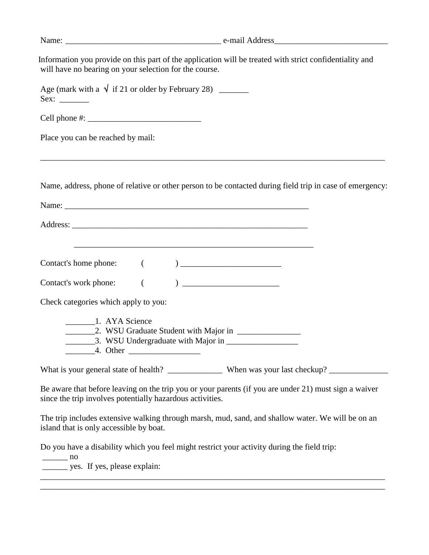| will have no bearing on your selection for the course.                                                                                                                | Information you provide on this part of the application will be treated with strict confidentiality and                                                                                                    |
|-----------------------------------------------------------------------------------------------------------------------------------------------------------------------|------------------------------------------------------------------------------------------------------------------------------------------------------------------------------------------------------------|
| Age (mark with a $\sqrt{ }$ if 21 or older by February 28) _______                                                                                                    |                                                                                                                                                                                                            |
|                                                                                                                                                                       |                                                                                                                                                                                                            |
| Place you can be reached by mail:                                                                                                                                     |                                                                                                                                                                                                            |
|                                                                                                                                                                       | Name, address, phone of relative or other person to be contacted during field trip in case of emergency:                                                                                                   |
|                                                                                                                                                                       |                                                                                                                                                                                                            |
|                                                                                                                                                                       |                                                                                                                                                                                                            |
|                                                                                                                                                                       |                                                                                                                                                                                                            |
|                                                                                                                                                                       |                                                                                                                                                                                                            |
|                                                                                                                                                                       |                                                                                                                                                                                                            |
|                                                                                                                                                                       | $\begin{pmatrix} 1 & 1 \\ 1 & 1 \end{pmatrix}$                                                                                                                                                             |
|                                                                                                                                                                       |                                                                                                                                                                                                            |
|                                                                                                                                                                       |                                                                                                                                                                                                            |
|                                                                                                                                                                       |                                                                                                                                                                                                            |
|                                                                                                                                                                       |                                                                                                                                                                                                            |
| Contact's work phone:<br>Check categories which apply to you:<br>since the trip involves potentially hazardous activities.<br>island that is only accessible by boat. | Be aware that before leaving on the trip you or your parents (if you are under 21) must sign a waiver<br>The trip includes extensive walking through marsh, mud, sand, and shallow water. We will be on an |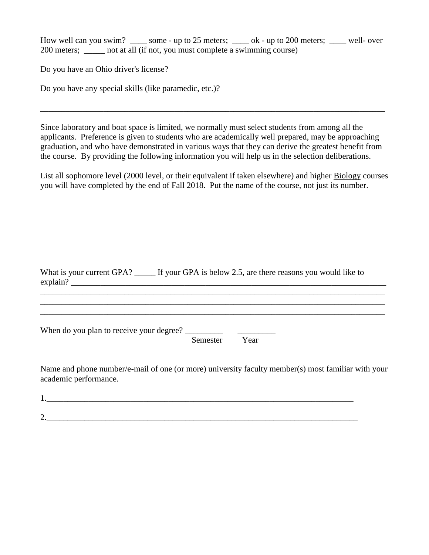How well can you swim? \_\_\_\_ some - up to 25 meters; \_\_\_\_ ok - up to 200 meters; \_\_\_\_ well- over 200 meters; \_\_\_\_\_ not at all (if not, you must complete a swimming course)

Do you have an Ohio driver's license?

Do you have any special skills (like paramedic, etc.)?

 Since laboratory and boat space is limited, we normally must select students from among all the applicants. Preference is given to students who are academically well prepared, may be approaching graduation, and who have demonstrated in various ways that they can derive the greatest benefit from the course. By providing the following information you will help us in the selection deliberations.

\_\_\_\_\_\_\_\_\_\_\_\_\_\_\_\_\_\_\_\_\_\_\_\_\_\_\_\_\_\_\_\_\_\_\_\_\_\_\_\_\_\_\_\_\_\_\_\_\_\_\_\_\_\_\_\_\_\_\_\_\_\_\_\_\_\_\_\_\_\_\_\_\_\_\_\_\_\_\_\_\_\_

List all sophomore level (2000 level, or their equivalent if taken elsewhere) and higher Biology courses you will have completed by the end of Fall 2018. Put the name of the course, not just its number.

| What is your current GPA? | If your GPA is below 2.5, are there reasons you would like to |
|---------------------------|---------------------------------------------------------------|
| explain?                  |                                                               |
|                           |                                                               |
|                           |                                                               |

\_\_\_\_\_\_\_\_\_\_\_\_\_\_\_\_\_\_\_\_\_\_\_\_\_\_\_\_\_\_\_\_\_\_\_\_\_\_\_\_\_\_\_\_\_\_\_\_\_\_\_\_\_\_\_\_\_\_\_\_\_\_\_\_\_\_\_\_\_\_\_\_\_\_\_\_\_\_\_\_\_\_

When do you plan to receive your degree?  $\Box$ 

Semester Year

Name and phone number/e-mail of one (or more) university faculty member(s) most familiar with your academic performance.

1.  $\blacksquare$ 2.